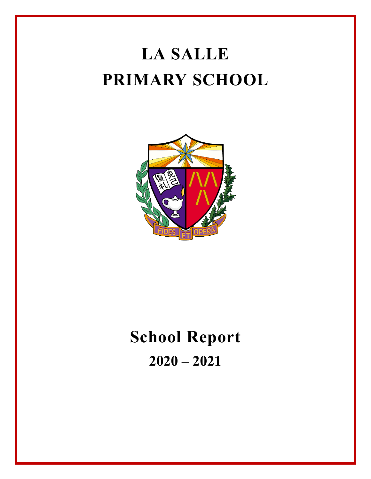# **LA SALLE PRIMARY SCHOOL**



# **School Report 2020 – 2021**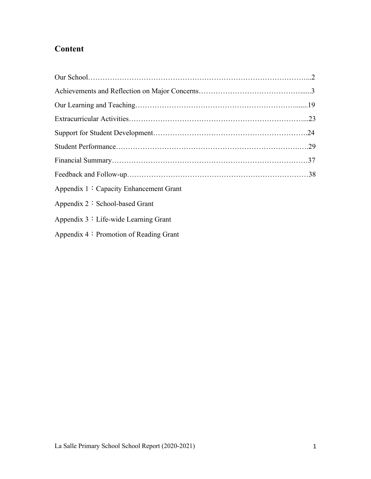## **Content**

| Appendix 1: Capacity Enhancement Grant |  |
|----------------------------------------|--|
| Appendix $2 :$ School-based Grant      |  |
| Appendix $3:$ Life-wide Learning Grant |  |

Appendix 4: Promotion of Reading Grant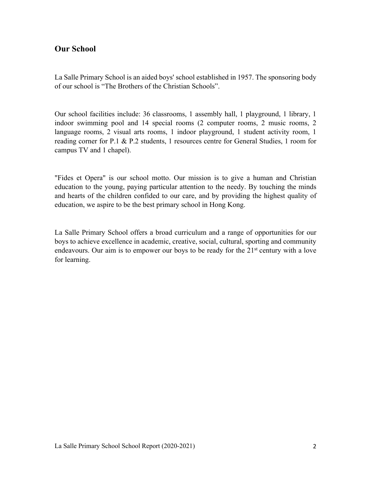## **Our School**

La Salle Primary School is an aided boys' school established in 1957. The sponsoring body of our school is "The Brothers of the Christian Schools".

Our school facilities include: 36 classrooms, 1 assembly hall, 1 playground, 1 library, 1 indoor swimming pool and 14 special rooms (2 computer rooms, 2 music rooms, 2 language rooms, 2 visual arts rooms, 1 indoor playground, 1 student activity room, 1 reading corner for P.1 & P.2 students, 1 resources centre for General Studies, 1 room for campus TV and 1 chapel).

"Fides et Opera" is our school motto. Our mission is to give a human and Christian education to the young, paying particular attention to the needy. By touching the minds and hearts of the children confided to our care, and by providing the highest quality of education, we aspire to be the best primary school in Hong Kong.

La Salle Primary School offers a broad curriculum and a range of opportunities for our boys to achieve excellence in academic, creative, social, cultural, sporting and community endeavours. Our aim is to empower our boys to be ready for the  $21<sup>st</sup>$  century with a love for learning.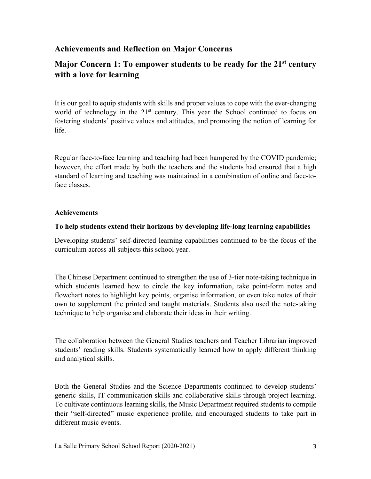## **Achievements and Reflection on Major Concerns**

## **Major Concern 1: To empower students to be ready for the 21st century with a love for learning**

It is our goal to equip students with skills and proper values to cope with the ever-changing world of technology in the  $21<sup>st</sup>$  century. This year the School continued to focus on fostering students' positive values and attitudes, and promoting the notion of learning for life.

Regular face-to-face learning and teaching had been hampered by the COVID pandemic; however, the effort made by both the teachers and the students had ensured that a high standard of learning and teaching was maintained in a combination of online and face-toface classes.

#### **Achievements**

#### **To help students extend their horizons by developing life-long learning capabilities**

Developing students' self-directed learning capabilities continued to be the focus of the curriculum across all subjects this school year.

The Chinese Department continued to strengthen the use of 3-tier note-taking technique in which students learned how to circle the key information, take point-form notes and flowchart notes to highlight key points, organise information, or even take notes of their own to supplement the printed and taught materials. Students also used the note-taking technique to help organise and elaborate their ideas in their writing.

The collaboration between the General Studies teachers and Teacher Librarian improved students' reading skills. Students systematically learned how to apply different thinking and analytical skills.

Both the General Studies and the Science Departments continued to develop students' generic skills, IT communication skills and collaborative skills through project learning. To cultivate continuous learning skills, the Music Department required students to compile their "self-directed" music experience profile, and encouraged students to take part in different music events.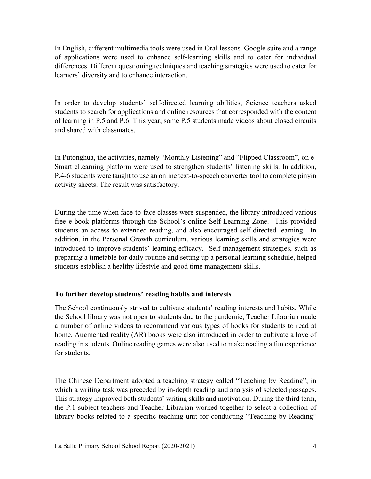In English, different multimedia tools were used in Oral lessons. Google suite and a range of applications were used to enhance self-learning skills and to cater for individual differences. Different questioning techniques and teaching strategies were used to cater for learners' diversity and to enhance interaction.

In order to develop students' self-directed learning abilities, Science teachers asked students to search for applications and online resources that corresponded with the content of learning in P.5 and P.6. This year, some P.5 students made videos about closed circuits and shared with classmates.

In Putonghua, the activities, namely "Monthly Listening" and "Flipped Classroom", on e-Smart eLearning platform were used to strengthen students' listening skills. In addition, P.4-6 students were taught to use an online text-to-speech converter tool to complete pinyin activity sheets. The result was satisfactory.

During the time when face-to-face classes were suspended, the library introduced various free e-book platforms through the School's online Self-Learning Zone. This provided students an access to extended reading, and also encouraged self-directed learning. In addition, in the Personal Growth curriculum, various learning skills and strategies were introduced to improve students' learning efficacy. Self-management strategies, such as preparing a timetable for daily routine and setting up a personal learning schedule, helped students establish a healthy lifestyle and good time management skills.

#### **To further develop students' reading habits and interests**

The School continuously strived to cultivate students' reading interests and habits. While the School library was not open to students due to the pandemic, Teacher Librarian made a number of online videos to recommend various types of books for students to read at home. Augmented reality (AR) books were also introduced in order to cultivate a love of reading in students. Online reading games were also used to make reading a fun experience for students.

The Chinese Department adopted a teaching strategy called "Teaching by Reading", in which a writing task was preceded by in-depth reading and analysis of selected passages. This strategy improved both students' writing skills and motivation. During the third term, the P.1 subject teachers and Teacher Librarian worked together to select a collection of library books related to a specific teaching unit for conducting "Teaching by Reading"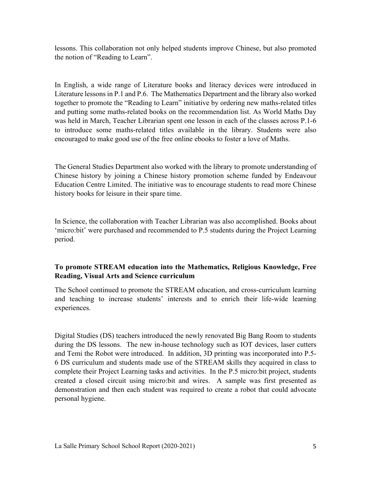lessons. This collaboration not only helped students improve Chinese, but also promoted the notion of "Reading to Learn".

In English, a wide range of Literature books and literacy devices were introduced in Literature lessons in P.1 and P.6. The Mathematics Department and the library also worked together to promote the "Reading to Learn" initiative by ordering new maths-related titles and putting some maths-related books on the recommendation list. As World Maths Day was held in March, Teacher Librarian spent one lesson in each of the classes across P.1-6 to introduce some maths-related titles available in the library. Students were also encouraged to make good use of the free online ebooks to foster a love of Maths.

The General Studies Department also worked with the library to promote understanding of Chinese history by joining a Chinese history promotion scheme funded by Endeavour Education Centre Limited. The initiative was to encourage students to read more Chinese history books for leisure in their spare time.

In Science, the collaboration with Teacher Librarian was also accomplished. Books about 'micro:bit' were purchased and recommended to P.5 students during the Project Learning period.

### **To promote STREAM education into the Mathematics, Religious Knowledge, Free Reading, Visual Arts and Science curriculum**

The School continued to promote the STREAM education, and cross-curriculum learning and teaching to increase students' interests and to enrich their life-wide learning experiences.

Digital Studies (DS) teachers introduced the newly renovated Big Bang Room to students during the DS lessons. The new in-house technology such as IOT devices, laser cutters and Temi the Robot were introduced. In addition, 3D printing was incorporated into P.5- 6 DS curriculum and students made use of the STREAM skills they acquired in class to complete their Project Learning tasks and activities. In the P.5 micro:bit project, students created a closed circuit using micro:bit and wires. A sample was first presented as demonstration and then each student was required to create a robot that could advocate personal hygiene.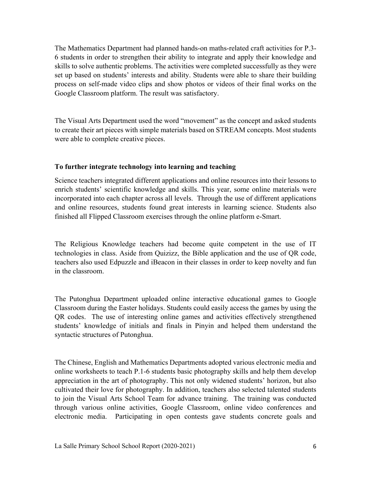The Mathematics Department had planned hands-on maths-related craft activities for P.3- 6 students in order to strengthen their ability to integrate and apply their knowledge and skills to solve authentic problems. The activities were completed successfully as they were set up based on students' interests and ability. Students were able to share their building process on self-made video clips and show photos or videos of their final works on the Google Classroom platform. The result was satisfactory.

The Visual Arts Department used the word "movement" as the concept and asked students to create their art pieces with simple materials based on STREAM concepts. Most students were able to complete creative pieces.

#### **To further integrate technology into learning and teaching**

Science teachers integrated different applications and online resources into their lessons to enrich students' scientific knowledge and skills. This year, some online materials were incorporated into each chapter across all levels. Through the use of different applications and online resources, students found great interests in learning science. Students also finished all Flipped Classroom exercises through the online platform e-Smart.

The Religious Knowledge teachers had become quite competent in the use of IT technologies in class. Aside from Quizizz, the Bible application and the use of QR code, teachers also used Edpuzzle and iBeacon in their classes in order to keep novelty and fun in the classroom.

The Putonghua Department uploaded online interactive educational games to Google Classroom during the Easter holidays. Students could easily access the games by using the QR codes. The use of interesting online games and activities effectively strengthened students' knowledge of initials and finals in Pinyin and helped them understand the syntactic structures of Putonghua.

The Chinese, English and Mathematics Departments adopted various electronic media and online worksheets to teach P.1-6 students basic photography skills and help them develop appreciation in the art of photography. This not only widened students' horizon, but also cultivated their love for photography. In addition, teachers also selected talented students to join the Visual Arts School Team for advance training. The training was conducted through various online activities, Google Classroom, online video conferences and electronic media. Participating in open contests gave students concrete goals and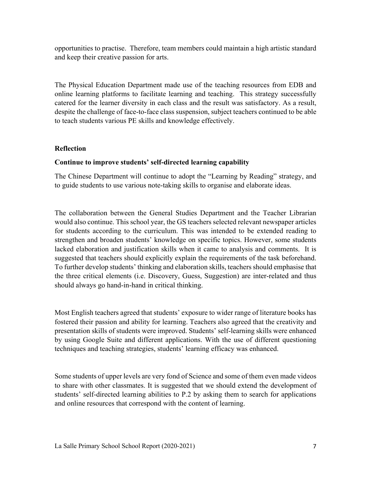opportunities to practise. Therefore, team members could maintain a high artistic standard and keep their creative passion for arts.

The Physical Education Department made use of the teaching resources from EDB and online learning platforms to facilitate learning and teaching. This strategy successfully catered for the learner diversity in each class and the result was satisfactory. As a result, despite the challenge of face-to-face class suspension, subject teachers continued to be able to teach students various PE skills and knowledge effectively.

#### **Reflection**

#### **Continue to improve students' self-directed learning capability**

The Chinese Department will continue to adopt the "Learning by Reading" strategy, and to guide students to use various note-taking skills to organise and elaborate ideas.

The collaboration between the General Studies Department and the Teacher Librarian would also continue. This school year, the GS teachers selected relevant newspaper articles for students according to the curriculum. This was intended to be extended reading to strengthen and broaden students' knowledge on specific topics. However, some students lacked elaboration and justification skills when it came to analysis and comments. It is suggested that teachers should explicitly explain the requirements of the task beforehand. To further develop students' thinking and elaboration skills, teachers should emphasise that the three critical elements (i.e. Discovery, Guess, Suggestion) are inter-related and thus should always go hand-in-hand in critical thinking.

Most English teachers agreed that students' exposure to wider range of literature books has fostered their passion and ability for learning. Teachers also agreed that the creativity and presentation skills of students were improved. Students' self-learning skills were enhanced by using Google Suite and different applications. With the use of different questioning techniques and teaching strategies, students' learning efficacy was enhanced.

Some students of upper levels are very fond of Science and some of them even made videos to share with other classmates. It is suggested that we should extend the development of students' self-directed learning abilities to P.2 by asking them to search for applications and online resources that correspond with the content of learning.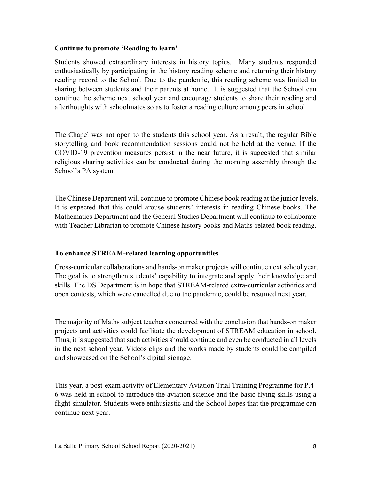#### **Continue to promote 'Reading to learn'**

Students showed extraordinary interests in history topics. Many students responded enthusiastically by participating in the history reading scheme and returning their history reading record to the School. Due to the pandemic, this reading scheme was limited to sharing between students and their parents at home. It is suggested that the School can continue the scheme next school year and encourage students to share their reading and afterthoughts with schoolmates so as to foster a reading culture among peers in school.

The Chapel was not open to the students this school year. As a result, the regular Bible storytelling and book recommendation sessions could not be held at the venue. If the COVID-19 prevention measures persist in the near future, it is suggested that similar religious sharing activities can be conducted during the morning assembly through the School's PA system.

The Chinese Department will continue to promote Chinese book reading at the junior levels. It is expected that this could arouse students' interests in reading Chinese books. The Mathematics Department and the General Studies Department will continue to collaborate with Teacher Librarian to promote Chinese history books and Maths-related book reading.

#### **To enhance STREAM-related learning opportunities**

Cross-curricular collaborations and hands-on maker projects will continue next school year. The goal is to strengthen students' capability to integrate and apply their knowledge and skills. The DS Department is in hope that STREAM-related extra-curricular activities and open contests, which were cancelled due to the pandemic, could be resumed next year.

The majority of Maths subject teachers concurred with the conclusion that hands-on maker projects and activities could facilitate the development of STREAM education in school. Thus, it is suggested that such activities should continue and even be conducted in all levels in the next school year. Videos clips and the works made by students could be compiled and showcased on the School's digital signage.

This year, a post-exam activity of Elementary Aviation Trial Training Programme for P.4- 6 was held in school to introduce the aviation science and the basic flying skills using a flight simulator. Students were enthusiastic and the School hopes that the programme can continue next year.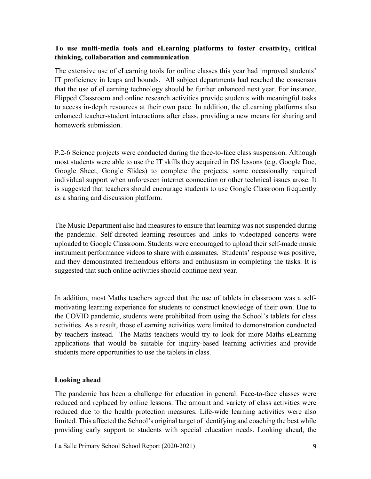#### **To use multi-media tools and eLearning platforms to foster creativity, critical thinking, collaboration and communication**

The extensive use of eLearning tools for online classes this year had improved students' IT proficiency in leaps and bounds. All subject departments had reached the consensus that the use of eLearning technology should be further enhanced next year. For instance, Flipped Classroom and online research activities provide students with meaningful tasks to access in-depth resources at their own pace. In addition, the eLearning platforms also enhanced teacher-student interactions after class, providing a new means for sharing and homework submission.

P.2-6 Science projects were conducted during the face-to-face class suspension. Although most students were able to use the IT skills they acquired in DS lessons (e.g. Google Doc, Google Sheet, Google Slides) to complete the projects, some occasionally required individual support when unforeseen internet connection or other technical issues arose. It is suggested that teachers should encourage students to use Google Classroom frequently as a sharing and discussion platform.

The Music Department also had measures to ensure that learning was not suspended during the pandemic. Self-directed learning resources and links to videotaped concerts were uploaded to Google Classroom. Students were encouraged to upload their self-made music instrument performance videos to share with classmates. Students' response was positive, and they demonstrated tremendous efforts and enthusiasm in completing the tasks. It is suggested that such online activities should continue next year.

In addition, most Maths teachers agreed that the use of tablets in classroom was a selfmotivating learning experience for students to construct knowledge of their own. Due to the COVID pandemic, students were prohibited from using the School's tablets for class activities. As a result, those eLearning activities were limited to demonstration conducted by teachers instead. The Maths teachers would try to look for more Maths eLearning applications that would be suitable for inquiry-based learning activities and provide students more opportunities to use the tablets in class.

#### **Looking ahead**

The pandemic has been a challenge for education in general. Face-to-face classes were reduced and replaced by online lessons. The amount and variety of class activities were reduced due to the health protection measures. Life-wide learning activities were also limited. This affected the School's original target of identifying and coaching the best while providing early support to students with special education needs. Looking ahead, the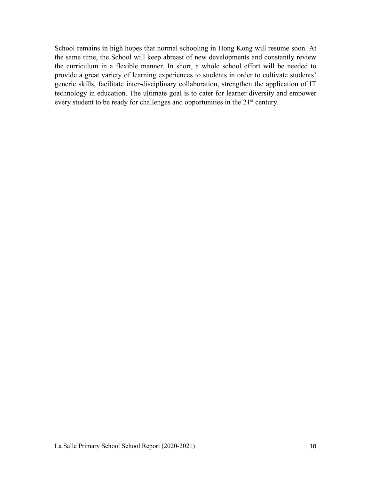School remains in high hopes that normal schooling in Hong Kong will resume soon. At the same time, the School will keep abreast of new developments and constantly review the curriculum in a flexible manner. In short, a whole school effort will be needed to provide a great variety of learning experiences to students in order to cultivate students' generic skills, facilitate inter-disciplinary collaboration, strengthen the application of IT technology in education. The ultimate goal is to cater for learner diversity and empower every student to be ready for challenges and opportunities in the 21<sup>st</sup> century.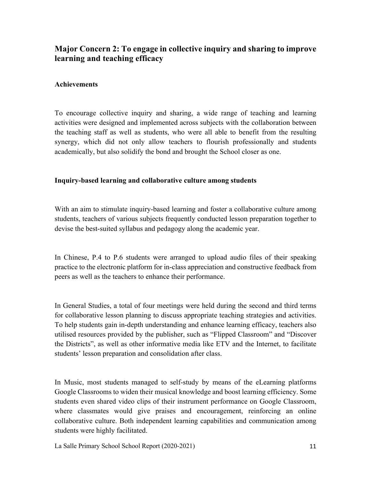## **Major Concern 2: To engage in collective inquiry and sharing to improve learning and teaching efficacy**

#### **Achievements**

To encourage collective inquiry and sharing, a wide range of teaching and learning activities were designed and implemented across subjects with the collaboration between the teaching staff as well as students, who were all able to benefit from the resulting synergy, which did not only allow teachers to flourish professionally and students academically, but also solidify the bond and brought the School closer as one.

#### **Inquiry-based learning and collaborative culture among students**

With an aim to stimulate inquiry-based learning and foster a collaborative culture among students, teachers of various subjects frequently conducted lesson preparation together to devise the best-suited syllabus and pedagogy along the academic year.

In Chinese, P.4 to P.6 students were arranged to upload audio files of their speaking practice to the electronic platform for in-class appreciation and constructive feedback from peers as well as the teachers to enhance their performance.

In General Studies, a total of four meetings were held during the second and third terms for collaborative lesson planning to discuss appropriate teaching strategies and activities. To help students gain in-depth understanding and enhance learning efficacy, teachers also utilised resources provided by the publisher, such as "Flipped Classroom" and "Discover the Districts", as well as other informative media like ETV and the Internet, to facilitate students' lesson preparation and consolidation after class.

In Music, most students managed to self-study by means of the eLearning platforms Google Classrooms to widen their musical knowledge and boost learning efficiency. Some students even shared video clips of their instrument performance on Google Classroom, where classmates would give praises and encouragement, reinforcing an online collaborative culture. Both independent learning capabilities and communication among students were highly facilitated.

La Salle Primary School School Report (2020-2021) 11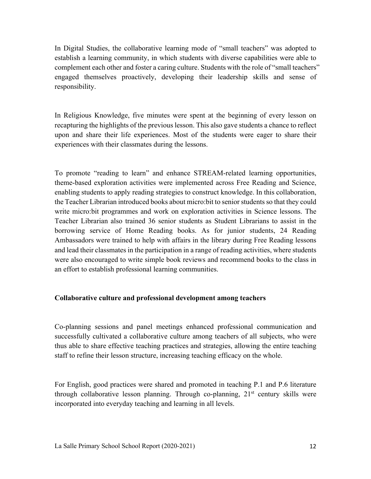In Digital Studies, the collaborative learning mode of "small teachers" was adopted to establish a learning community, in which students with diverse capabilities were able to complement each other and foster a caring culture. Students with the role of "small teachers" engaged themselves proactively, developing their leadership skills and sense of responsibility.

In Religious Knowledge, five minutes were spent at the beginning of every lesson on recapturing the highlights of the previous lesson. This also gave students a chance to reflect upon and share their life experiences. Most of the students were eager to share their experiences with their classmates during the lessons.

To promote "reading to learn" and enhance STREAM-related learning opportunities, theme-based exploration activities were implemented across Free Reading and Science, enabling students to apply reading strategies to construct knowledge. In this collaboration, the Teacher Librarian introduced books about micro:bit to senior students so that they could write micro:bit programmes and work on exploration activities in Science lessons. The Teacher Librarian also trained 36 senior students as Student Librarians to assist in the borrowing service of Home Reading books. As for junior students, 24 Reading Ambassadors were trained to help with affairs in the library during Free Reading lessons and lead their classmates in the participation in a range of reading activities, where students were also encouraged to write simple book reviews and recommend books to the class in an effort to establish professional learning communities.

#### **Collaborative culture and professional development among teachers**

Co-planning sessions and panel meetings enhanced professional communication and successfully cultivated a collaborative culture among teachers of all subjects, who were thus able to share effective teaching practices and strategies, allowing the entire teaching staff to refine their lesson structure, increasing teaching efficacy on the whole.

For English, good practices were shared and promoted in teaching P.1 and P.6 literature through collaborative lesson planning. Through co-planning,  $21<sup>st</sup>$  century skills were incorporated into everyday teaching and learning in all levels.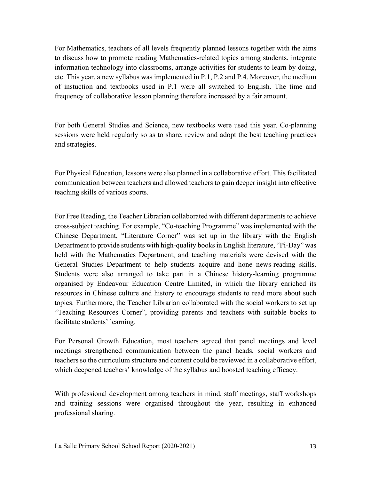For Mathematics, teachers of all levels frequently planned lessons together with the aims to discuss how to promote reading Mathematics-related topics among students, integrate information technology into classrooms, arrange activities for students to learn by doing, etc. This year, a new syllabus was implemented in P.1, P.2 and P.4. Moreover, the medium of instuction and textbooks used in P.1 were all switched to English. The time and frequency of collaborative lesson planning therefore increased by a fair amount.

For both General Studies and Science, new textbooks were used this year. Co-planning sessions were held regularly so as to share, review and adopt the best teaching practices and strategies.

For Physical Education, lessons were also planned in a collaborative effort. This facilitated communication between teachers and allowed teachers to gain deeper insight into effective teaching skills of various sports.

For Free Reading, the Teacher Librarian collaborated with different departments to achieve cross-subject teaching. For example, "Co-teaching Programme" was implemented with the Chinese Department, "Literature Corner" was set up in the library with the English Department to provide students with high-quality books in English literature, "Pi-Day" was held with the Mathematics Department, and teaching materials were devised with the General Studies Department to help students acquire and hone news-reading skills. Students were also arranged to take part in a Chinese history-learning programme organised by Endeavour Education Centre Limited, in which the library enriched its resources in Chinese culture and history to encourage students to read more about such topics. Furthermore, the Teacher Librarian collaborated with the social workers to set up "Teaching Resources Corner", providing parents and teachers with suitable books to facilitate students' learning.

For Personal Growth Education, most teachers agreed that panel meetings and level meetings strengthened communication between the panel heads, social workers and teachers so the curriculum structure and content could be reviewed in a collaborative effort, which deepened teachers' knowledge of the syllabus and boosted teaching efficacy.

With professional development among teachers in mind, staff meetings, staff workshops and training sessions were organised throughout the year, resulting in enhanced professional sharing.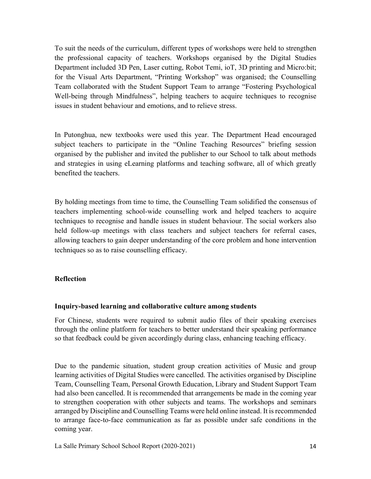To suit the needs of the curriculum, different types of workshops were held to strengthen the professional capacity of teachers. Workshops organised by the Digital Studies Department included 3D Pen, Laser cutting, Robot Temi, ioT, 3D printing and Micro:bit; for the Visual Arts Department, "Printing Workshop" was organised; the Counselling Team collaborated with the Student Support Team to arrange "Fostering Psychological Well-being through Mindfulness", helping teachers to acquire techniques to recognise issues in student behaviour and emotions, and to relieve stress.

In Putonghua, new textbooks were used this year. The Department Head encouraged subject teachers to participate in the "Online Teaching Resources" briefing session organised by the publisher and invited the publisher to our School to talk about methods and strategies in using eLearning platforms and teaching software, all of which greatly benefited the teachers.

By holding meetings from time to time, the Counselling Team solidified the consensus of teachers implementing school-wide counselling work and helped teachers to acquire techniques to recognise and handle issues in student behaviour. The social workers also held follow-up meetings with class teachers and subject teachers for referral cases, allowing teachers to gain deeper understanding of the core problem and hone intervention techniques so as to raise counselling efficacy.

#### **Reflection**

#### **Inquiry-based learning and collaborative culture among students**

For Chinese, students were required to submit audio files of their speaking exercises through the online platform for teachers to better understand their speaking performance so that feedback could be given accordingly during class, enhancing teaching efficacy.

Due to the pandemic situation, student group creation activities of Music and group learning activities of Digital Studies were cancelled. The activities organised by Discipline Team, Counselling Team, Personal Growth Education, Library and Student Support Team had also been cancelled. It is recommended that arrangements be made in the coming year to strengthen cooperation with other subjects and teams. The workshops and seminars arranged by Discipline and Counselling Teams were held online instead. It is recommended to arrange face-to-face communication as far as possible under safe conditions in the coming year.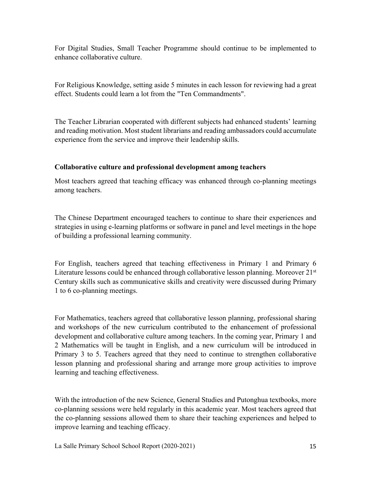For Digital Studies, Small Teacher Programme should continue to be implemented to enhance collaborative culture.

For Religious Knowledge, setting aside 5 minutes in each lesson for reviewing had a great effect. Students could learn a lot from the "Ten Commandments".

The Teacher Librarian cooperated with different subjects had enhanced students' learning and reading motivation. Most student librarians and reading ambassadors could accumulate experience from the service and improve their leadership skills.

#### **Collaborative culture and professional development among teachers**

Most teachers agreed that teaching efficacy was enhanced through co-planning meetings among teachers.

The Chinese Department encouraged teachers to continue to share their experiences and strategies in using e-learning platforms or software in panel and level meetings in the hope of building a professional learning community.

For English, teachers agreed that teaching effectiveness in Primary 1 and Primary 6 Literature lessons could be enhanced through collaborative lesson planning. Moreover 21<sup>st</sup> Century skills such as communicative skills and creativity were discussed during Primary 1 to 6 co-planning meetings.

For Mathematics, teachers agreed that collaborative lesson planning, professional sharing and workshops of the new curriculum contributed to the enhancement of professional development and collaborative culture among teachers. In the coming year, Primary 1 and 2 Mathematics will be taught in English, and a new curriculum will be introduced in Primary 3 to 5. Teachers agreed that they need to continue to strengthen collaborative lesson planning and professional sharing and arrange more group activities to improve learning and teaching effectiveness.

With the introduction of the new Science, General Studies and Putonghua textbooks, more co-planning sessions were held regularly in this academic year. Most teachers agreed that the co-planning sessions allowed them to share their teaching experiences and helped to improve learning and teaching efficacy.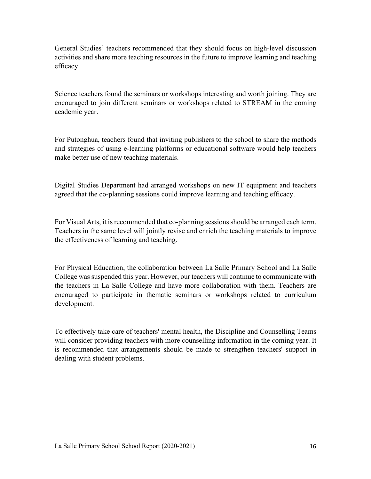General Studies' teachers recommended that they should focus on high-level discussion activities and share more teaching resources in the future to improve learning and teaching efficacy.

Science teachers found the seminars or workshops interesting and worth joining. They are encouraged to join different seminars or workshops related to STREAM in the coming academic year.

For Putonghua, teachers found that inviting publishers to the school to share the methods and strategies of using e-learning platforms or educational software would help teachers make better use of new teaching materials.

Digital Studies Department had arranged workshops on new IT equipment and teachers agreed that the co-planning sessions could improve learning and teaching efficacy.

For Visual Arts, it is recommended that co-planning sessions should be arranged each term. Teachers in the same level will jointly revise and enrich the teaching materials to improve the effectiveness of learning and teaching.

For Physical Education, the collaboration between La Salle Primary School and La Salle College was suspended this year. However, our teachers will continue to communicate with the teachers in La Salle College and have more collaboration with them. Teachers are encouraged to participate in thematic seminars or workshops related to curriculum development.

To effectively take care of teachers' mental health, the Discipline and Counselling Teams will consider providing teachers with more counselling information in the coming year. It is recommended that arrangements should be made to strengthen teachers' support in dealing with student problems.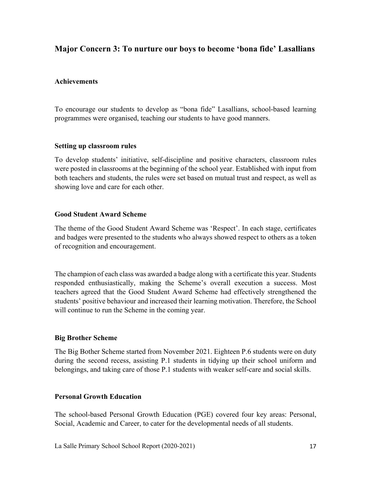## **Major Concern 3: To nurture our boys to become 'bona fide' Lasallians**

#### **Achievements**

To encourage our students to develop as "bona fide" Lasallians, school-based learning programmes were organised, teaching our students to have good manners.

#### **Setting up classroom rules**

To develop students' initiative, self-discipline and positive characters, classroom rules were posted in classrooms at the beginning of the school year. Established with input from both teachers and students, the rules were set based on mutual trust and respect, as well as showing love and care for each other.

#### **Good Student Award Scheme**

The theme of the Good Student Award Scheme was 'Respect'. In each stage, certificates and badges were presented to the students who always showed respect to others as a token of recognition and encouragement.

The champion of each class was awarded a badge along with a certificate this year. Students responded enthusiastically, making the Scheme's overall execution a success. Most teachers agreed that the Good Student Award Scheme had effectively strengthened the students' positive behaviour and increased their learning motivation. Therefore, the School will continue to run the Scheme in the coming year.

#### **Big Brother Scheme**

The Big Bother Scheme started from November 2021. Eighteen P.6 students were on duty during the second recess, assisting P.1 students in tidying up their school uniform and belongings, and taking care of those P.1 students with weaker self-care and social skills.

#### **Personal Growth Education**

The school-based Personal Growth Education (PGE) covered four key areas: Personal, Social, Academic and Career, to cater for the developmental needs of all students.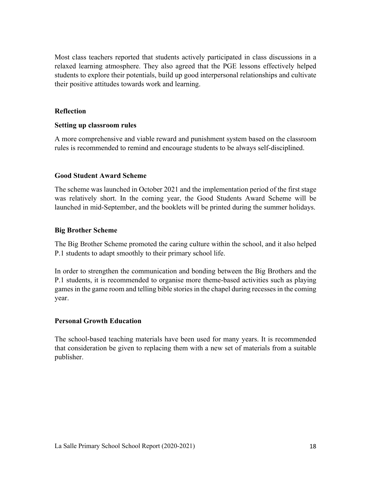Most class teachers reported that students actively participated in class discussions in a relaxed learning atmosphere. They also agreed that the PGE lessons effectively helped students to explore their potentials, build up good interpersonal relationships and cultivate their positive attitudes towards work and learning.

#### **Reflection**

#### **Setting up classroom rules**

A more comprehensive and viable reward and punishment system based on the classroom rules is recommended to remind and encourage students to be always self-disciplined.

#### **Good Student Award Scheme**

The scheme was launched in October 2021 and the implementation period of the first stage was relatively short. In the coming year, the Good Students Award Scheme will be launched in mid-September, and the booklets will be printed during the summer holidays.

#### **Big Brother Scheme**

The Big Brother Scheme promoted the caring culture within the school, and it also helped P.1 students to adapt smoothly to their primary school life.

In order to strengthen the communication and bonding between the Big Brothers and the P.1 students, it is recommended to organise more theme-based activities such as playing games in the game room and telling bible stories in the chapel during recesses in the coming year.

#### **Personal Growth Education**

The school-based teaching materials have been used for many years. It is recommended that consideration be given to replacing them with a new set of materials from a suitable publisher.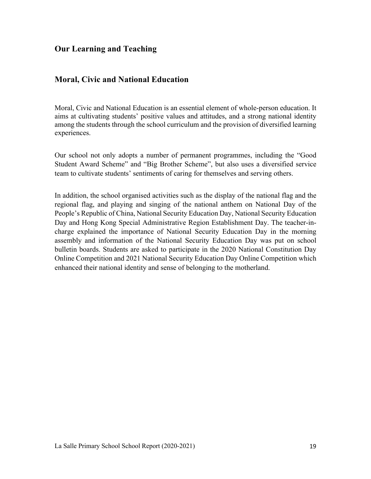## **Our Learning and Teaching**

## **Moral, Civic and National Education**

Moral, Civic and National Education is an essential element of whole-person education. It aims at cultivating students' positive values and attitudes, and a strong national identity among the students through the school curriculum and the provision of diversified learning experiences.

Our school not only adopts a number of permanent programmes, including the "Good Student Award Scheme" and "Big Brother Scheme", but also uses a diversified service team to cultivate students' sentiments of caring for themselves and serving others.

In addition, the school organised activities such as the display of the national flag and the regional flag, and playing and singing of the national anthem on National Day of the People's Republic of China, National Security Education Day, National Security Education Day and Hong Kong Special Administrative Region Establishment Day. The teacher-incharge explained the importance of National Security Education Day in the morning assembly and information of the National Security Education Day was put on school bulletin boards. Students are asked to participate in the 2020 National Constitution Day Online Competition and 2021 National Security Education Day Online Competition which enhanced their national identity and sense of belonging to the motherland.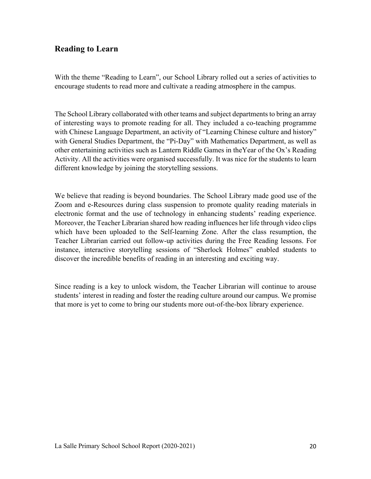## **Reading to Learn**

With the theme "Reading to Learn", our School Library rolled out a series of activities to encourage students to read more and cultivate a reading atmosphere in the campus.

The School Library collaborated with other teams and subject departments to bring an array of interesting ways to promote reading for all. They included a co-teaching programme with Chinese Language Department, an activity of "Learning Chinese culture and history" with General Studies Department, the "Pi-Day" with Mathematics Department, as well as other entertaining activities such as Lantern Riddle Games in theYear of the Ox's Reading Activity. All the activities were organised successfully. It was nice for the students to learn different knowledge by joining the storytelling sessions.

We believe that reading is beyond boundaries. The School Library made good use of the Zoom and e-Resources during class suspension to promote quality reading materials in electronic format and the use of technology in enhancing students' reading experience. Moreover, the Teacher Librarian shared how reading influences her life through video clips which have been uploaded to the Self-learning Zone. After the class resumption, the Teacher Librarian carried out follow-up activities during the Free Reading lessons. For instance, interactive storytelling sessions of "Sherlock Holmes" enabled students to discover the incredible benefits of reading in an interesting and exciting way.

Since reading is a key to unlock wisdom, the Teacher Librarian will continue to arouse students' interest in reading and foster the reading culture around our campus. We promise that more is yet to come to bring our students more out-of-the-box library experience.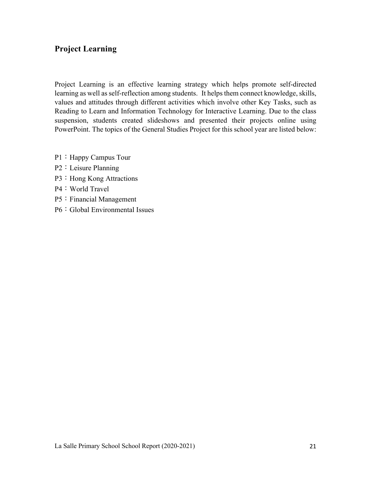## **Project Learning**

Project Learning is an effective learning strategy which helps promote self-directed learning as well as self-reflection among students. It helps them connect knowledge, skills, values and attitudes through different activities which involve other Key Tasks, such as Reading to Learn and Information Technology for Interactive Learning. Due to the class suspension, students created slideshows and presented their projects online using PowerPoint. The topics of the General Studies Project for this school year are listed below:

- P1: Happy Campus Tour
- P2: Leisure Planning
- P3: Hong Kong Attractions
- P4: World Travel
- P5: Financial Management
- P6: Global Environmental Issues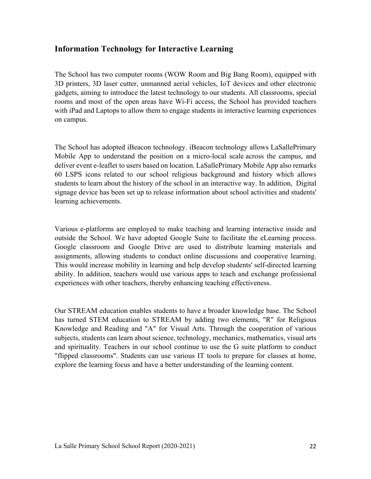## **Information Technology for Interactive Learning**

The School has two computer rooms (WOW Room and Big Bang Room), equipped with 3D printers, 3D laser cutter, unmanned aerial vehicles, IoT devices and other electronic gadgets, aiming to introduce the latest technology to our students. All classrooms, special rooms and most of the open areas have Wi-Fi access, the School has provided teachers with iPad and Laptops to allow them to engage students in interactive learning experiences on campus.

The School has adopted iBeacon technology. iBeacon technology allows LaSallePrimary Mobile App to understand the position on a micro-local scale across the campus, and deliver event e-leaflet to users based on location. LaSallePrimary Mobile App also remarks 60 LSPS icons related to our school religious background and history which allows students to learn about the history of the school in an interactive way. In addition, Digital signage device has been set up to release information about school activities and students' learning achievements.

Various e-platforms are employed to make teaching and learning interactive inside and outside the School. We have adopted Google Suite to facilitate the eLearning process. Google classroom and Google Drive are used to distribute learning materials and assignments, allowing students to conduct online discussions and cooperative learning. This would increase mobility in learning and help develop students' self-directed learning ability. In addition, teachers would use various apps to teach and exchange professional experiences with other teachers, thereby enhancing teaching effectiveness.

Our STREAM education enables students to have a broader knowledge base. The School has turned STEM education to STREAM by adding two elements, "R" for Religious Knowledge and Reading and "A" for Visual Arts. Through the cooperation of various subjects, students can learn about science, technology, mechanics, mathematics, visual arts and spirituality. Teachers in our school continue to use the G suite platform to conduct "flipped classrooms". Students can use various IT tools to prepare for classes at home, explore the learning focus and have a better understanding of the learning content.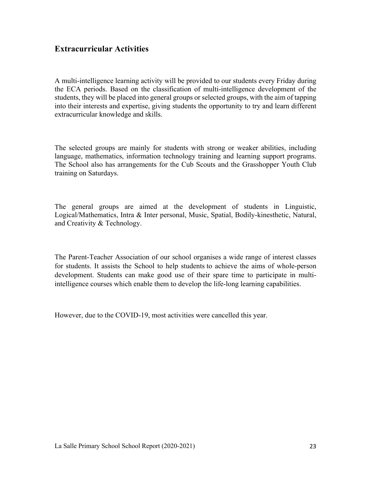## **Extracurricular Activities**

A multi-intelligence learning activity will be provided to our students every Friday during the ECA periods. Based on the classification of multi-intelligence development of the students, they will be placed into general groups or selected groups, with the aim of tapping into their interests and expertise, giving students the opportunity to try and learn different extracurricular knowledge and skills.

The selected groups are mainly for students with strong or weaker abilities, including language, mathematics, information technology training and learning support programs. The School also has arrangements for the Cub Scouts and the Grasshopper Youth Club training on Saturdays.

The general groups are aimed at the development of students in Linguistic, Logical/Mathematics, Intra & Inter personal, Music, Spatial, Bodily-kinesthetic, Natural, and Creativity & Technology.

The Parent-Teacher Association of our school organises a wide range of interest classes for students. It assists the School to help students to achieve the aims of whole-person development. Students can make good use of their spare time to participate in multiintelligence courses which enable them to develop the life-long learning capabilities.

However, due to the COVID-19, most activities were cancelled this year.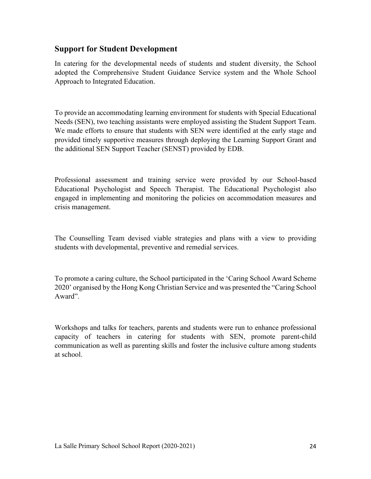## **Support for Student Development**

In catering for the developmental needs of students and student diversity, the School adopted the Comprehensive Student Guidance Service system and the Whole School Approach to Integrated Education.

To provide an accommodating learning environment for students with Special Educational Needs (SEN), two teaching assistants were employed assisting the Student Support Team. We made efforts to ensure that students with SEN were identified at the early stage and provided timely supportive measures through deploying the Learning Support Grant and the additional SEN Support Teacher (SENST) provided by EDB.

Professional assessment and training service were provided by our School-based Educational Psychologist and Speech Therapist. The Educational Psychologist also engaged in implementing and monitoring the policies on accommodation measures and crisis management.

The Counselling Team devised viable strategies and plans with a view to providing students with developmental, preventive and remedial services.

To promote a caring culture, the School participated in the 'Caring School Award Scheme 2020' organised by the Hong Kong Christian Service and was presented the "Caring School Award".

Workshops and talks for teachers, parents and students were run to enhance professional capacity of teachers in catering for students with SEN, promote parent-child communication as well as parenting skills and foster the inclusive culture among students at school.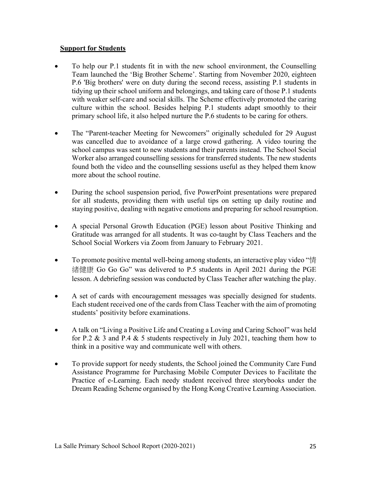#### **Support for Students**

- To help our P.1 students fit in with the new school environment, the Counselling Team launched the 'Big Brother Scheme'. Starting from November 2020, eighteen P.6 'Big brothers' were on duty during the second recess, assisting P.1 students in tidying up their school uniform and belongings, and taking care of those P.1 students with weaker self-care and social skills. The Scheme effectively promoted the caring culture within the school. Besides helping P.1 students adapt smoothly to their primary school life, it also helped nurture the P.6 students to be caring for others.
- The "Parent-teacher Meeting for Newcomers" originally scheduled for 29 August was cancelled due to avoidance of a large crowd gathering. A video touring the school campus was sent to new students and their parents instead. The School Social Worker also arranged counselling sessions for transferred students. The new students found both the video and the counselling sessions useful as they helped them know more about the school routine.
- During the school suspension period, five PowerPoint presentations were prepared for all students, providing them with useful tips on setting up daily routine and staying positive, dealing with negative emotions and preparing for school resumption.
- A special Personal Growth Education (PGE) lesson about Positive Thinking and Gratitude was arranged for all students. It was co-taught by Class Teachers and the School Social Workers via Zoom from January to February 2021.
- To promote positive mental well-being among students, an interactive play video "情 緒健康 Go Go Go" was delivered to P.5 students in April 2021 during the PGE lesson. A debriefing session was conducted by Class Teacher after watching the play.
- A set of cards with encouragement messages was specially designed for students. Each student received one of the cards from Class Teacher with the aim of promoting students' positivity before examinations.
- A talk on "Living a Positive Life and Creating a Loving and Caring School" was held for P.2 & 3 and P.4 & 5 students respectively in July 2021, teaching them how to think in a positive way and communicate well with others.
- To provide support for needy students, the School joined the Community Care Fund Assistance Programme for Purchasing Mobile Computer Devices to Facilitate the Practice of e-Learning. Each needy student received three storybooks under the Dream Reading Scheme organised by the Hong Kong Creative Learning Association.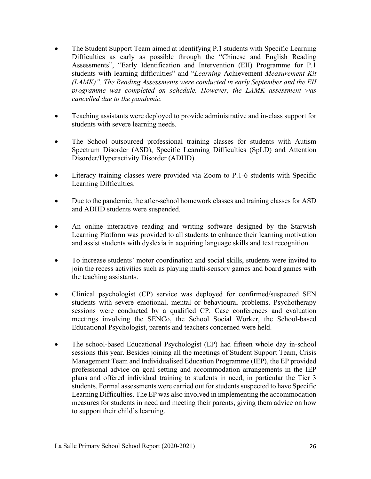- The Student Support Team aimed at identifying P.1 students with Specific Learning Difficulties as early as possible through the "Chinese and English Reading Assessments", "Early Identification and Intervention (EII) Programme for P.1 students with learning difficulties" and "*Learning* Achievement *Measurement Kit (LAMK)". The Reading Assessments were conducted in early September and the EII programme was completed on schedule. However, the LAMK assessment was cancelled due to the pandemic.*
- Teaching assistants were deployed to provide administrative and in-class support for students with severe learning needs.
- The School outsourced professional training classes for students with Autism Spectrum Disorder (ASD), Specific Learning Difficulties (SpLD) and Attention Disorder/Hyperactivity Disorder (ADHD).
- Literacy training classes were provided via Zoom to P.1-6 students with Specific Learning Difficulties.
- Due to the pandemic, the after-school homework classes and training classes for ASD and ADHD students were suspended.
- An online interactive reading and writing software designed by the Starwish Learning Platform was provided to all students to enhance their learning motivation and assist students with dyslexia in acquiring language skills and text recognition.
- To increase students' motor coordination and social skills, students were invited to join the recess activities such as playing multi-sensory games and board games with the teaching assistants.
- Clinical psychologist (CP) service was deployed for confirmed/suspected SEN students with severe emotional, mental or behavioural problems. Psychotherapy sessions were conducted by a qualified CP. Case conferences and evaluation meetings involving the SENCo, the School Social Worker, the School-based Educational Psychologist, parents and teachers concerned were held.
- The school-based Educational Psychologist (EP) had fifteen whole day in-school sessions this year. Besides joining all the meetings of Student Support Team, Crisis Management Team and Individualised Education Programme (IEP), the EP provided professional advice on goal setting and accommodation arrangements in the IEP plans and offered individual training to students in need, in particular the Tier 3 students. Formal assessments were carried out for students suspected to have Specific Learning Difficulties. The EP was also involved in implementing the accommodation measures for students in need and meeting their parents, giving them advice on how to support their child's learning.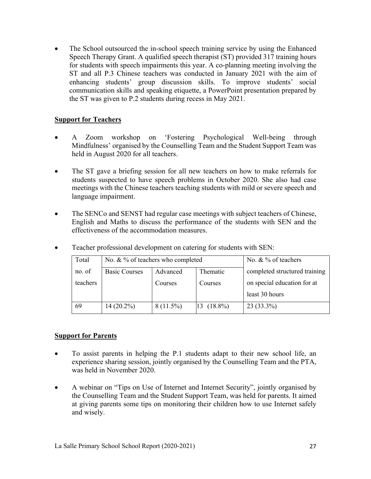The School outsourced the in-school speech training service by using the Enhanced Speech Therapy Grant. A qualified speech therapist (ST) provided 317 training hours for students with speech impairments this year. A co-planning meeting involving the ST and all P.3 Chinese teachers was conducted in January 2021 with the aim of enhancing students' group discussion skills. To improve students' social communication skills and speaking etiquette, a PowerPoint presentation prepared by the ST was given to P.2 students during recess in May 2021.

#### **Support for Teachers**

- A Zoom workshop on 'Fostering Psychological Well-being through Mindfulness' organised by the Counselling Team and the Student Support Team was held in August 2020 for all teachers.
- The ST gave a briefing session for all new teachers on how to make referrals for students suspected to have speech problems in October 2020. She also had case meetings with the Chinese teachers teaching students with mild or severe speech and language impairment.
- The SENCo and SENST had regular case meetings with subject teachers of Chinese, English and Maths to discuss the performance of the students with SEN and the effectiveness of the accommodation measures.

| Total    | No. & % of teachers who completed |             | No. & % of teachers |                               |  |
|----------|-----------------------------------|-------------|---------------------|-------------------------------|--|
| no. of   | <b>Basic Courses</b>              | Advanced    | <b>Thematic</b>     | completed structured training |  |
| teachers |                                   | Courses     | Courses             | on special education for at   |  |
|          |                                   |             |                     | least 30 hours                |  |
| 69       | $14(20.2\%)$                      | $8(11.5\%)$ | $13(18.8\%)$        | $23(33.3\%)$                  |  |

• Teacher professional development on catering for students with SEN:

#### **Support for Parents**

- To assist parents in helping the P.1 students adapt to their new school life, an experience sharing session, jointly organised by the Counselling Team and the PTA, was held in November 2020.
- A webinar on "Tips on Use of Internet and Internet Security", jointly organised by the Counselling Team and the Student Support Team, was held for parents. It aimed at giving parents some tips on monitoring their children how to use Internet safely and wisely.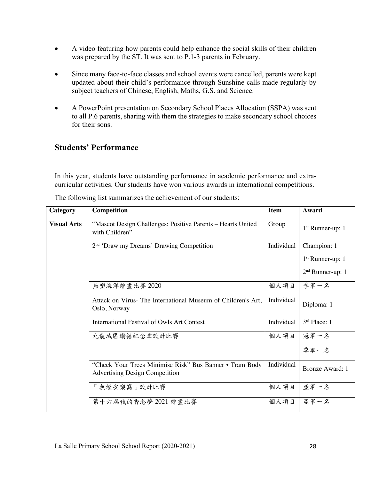- A video featuring how parents could help enhance the social skills of their children was prepared by the ST. It was sent to P.1-3 parents in February.
- Since many face-to-face classes and school events were cancelled, parents were kept updated about their child's performance through Sunshine calls made regularly by subject teachers of Chinese, English, Maths, G.S. and Science.
- A PowerPoint presentation on Secondary School Places Allocation (SSPA) was sent to all P.6 parents, sharing with them the strategies to make secondary school choices for their sons.

## **Students' Performance**

In this year, students have outstanding performance in academic performance and extracurricular activities. Our students have won various awards in international competitions.

| Category           | <b>Competition</b>                                                                               | <b>Item</b> | Award                  |
|--------------------|--------------------------------------------------------------------------------------------------|-------------|------------------------|
| <b>Visual Arts</b> | "Mascot Design Challenges: Positive Parents - Hearts United<br>with Children"                    | Group       | $1st$ Runner-up: 1     |
|                    | 2 <sup>nd</sup> 'Draw my Dreams' Drawing Competition                                             | Individual  | Champion: 1            |
|                    |                                                                                                  |             | $1st$ Runner-up: 1     |
|                    |                                                                                                  |             | $2nd$ Runner-up: 1     |
|                    | 無塑海洋繪畫比賽 2020                                                                                    | 個人項目        | 季軍一名                   |
|                    | Attack on Virus- The International Museum of Children's Art,<br>Oslo, Norway                     | Individual  | Diploma: 1             |
|                    | <b>International Festival of Owls Art Contest</b>                                                | Individual  | 3rd Place: 1           |
|                    | 九龍城區鑽禧紀念章設計比賽                                                                                    | 個人項目        | 冠軍一名                   |
|                    |                                                                                                  |             | 季軍一名                   |
|                    | "Check Your Trees Minimise Risk" Bus Banner • Tram Body<br><b>Advertising Design Competition</b> | Individual  | <b>Bronze Award: 1</b> |
|                    | 「無煙安樂窩」設計比賽                                                                                      | 個人項目        | 亞軍一名                   |
|                    | 第十六屆我的香港夢 2021 繪畫比賽                                                                              | 個人項目        | 亞軍一名                   |

The following list summarizes the achievement of our students: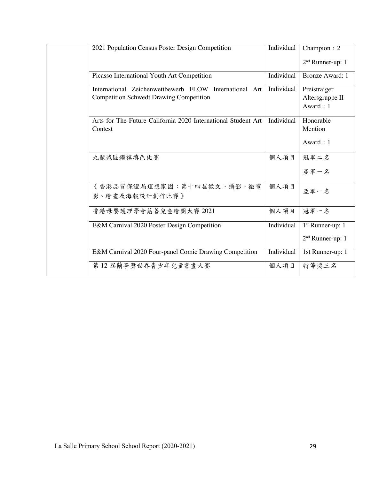| 2021 Population Census Poster Design Competition                         | Individual | Champion: 2                         |
|--------------------------------------------------------------------------|------------|-------------------------------------|
|                                                                          |            | 2 <sup>nd</sup> Runner-up: 1        |
| Picasso International Youth Art Competition                              | Individual | <b>Bronze Award: 1</b>              |
| International Zeichenwettbewerb FLOW International Art                   | Individual | Preistraiger                        |
| <b>Competition Schwedt Drawing Competition</b>                           |            | Altersgruppe II<br>Award:1          |
| Arts for The Future California 2020 International Student Art<br>Contest | Individual | Honorable<br>Mention<br>Award $: 1$ |
|                                                                          |            |                                     |
| 九龍城區鑽禧填色比賽                                                               | 個人項目       | 冠軍二名                                |
|                                                                          |            | 亞軍一名                                |
| 《香港品質保證局理想家園:第十四屆徵文、攝影、微電<br>影、繪畫及海報設計創作比賽》                              | 個人項目       | 亞軍一名                                |
| 香港母嬰護理學會慈善兒童繪圖大賽 2021                                                    | 個人項目       | 冠軍一名                                |
| E&M Carnival 2020 Poster Design Competition                              | Individual | $1st$ Runner-up: 1                  |
|                                                                          |            | 2 <sup>nd</sup> Runner-up: 1        |
| E&M Carnival 2020 Four-panel Comic Drawing Competition                   | Individual | 1st Runner-up: 1                    |
| 第12 居蘭亭獎世界青少年兒童書畫大賽                                                      | 個人項目       | 特等獎三名                               |
|                                                                          |            |                                     |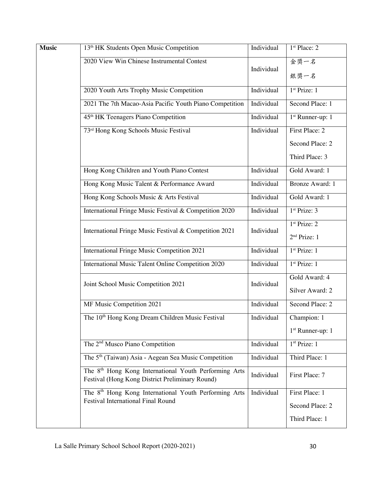| <b>Music</b> | 13 <sup>th</sup> HK Students Open Music Competition                                                                  | Individual | 1 <sup>st</sup> Place: 2                             |
|--------------|----------------------------------------------------------------------------------------------------------------------|------------|------------------------------------------------------|
|              | 2020 View Win Chinese Instrumental Contest                                                                           | Individual | 金獎一名<br>銀獎一名                                         |
|              | 2020 Youth Arts Trophy Music Competition                                                                             | Individual | 1 <sup>st</sup> Prize: 1                             |
|              | 2021 The 7th Macao-Asia Pacific Youth Piano Competition                                                              | Individual | Second Place: 1                                      |
|              | 45 <sup>th</sup> HK Teenagers Piano Competition                                                                      | Individual | 1 <sup>st</sup> Runner-up: 1                         |
|              | 73 <sup>rd</sup> Hong Kong Schools Music Festival                                                                    | Individual | First Place: 2                                       |
|              |                                                                                                                      |            | Second Place: 2                                      |
|              |                                                                                                                      |            | Third Place: 3                                       |
|              | Hong Kong Children and Youth Piano Contest                                                                           | Individual | Gold Award: 1                                        |
|              | Hong Kong Music Talent & Performance Award                                                                           | Individual | <b>Bronze Award: 1</b>                               |
|              | Hong Kong Schools Music & Arts Festival                                                                              | Individual | Gold Award: 1                                        |
|              | International Fringe Music Festival & Competition 2020                                                               | Individual | 1 <sup>st</sup> Prize: 3                             |
|              | International Fringe Music Festival & Competition 2021                                                               | Individual | 1 <sup>st</sup> Prize: 2<br>2 <sup>nd</sup> Prize: 1 |
|              | International Fringe Music Competition 2021                                                                          | Individual | 1 <sup>st</sup> Prize: 1                             |
|              | International Music Talent Online Competition 2020                                                                   | Individual | 1 <sup>st</sup> Prize: 1                             |
|              | Joint School Music Competition 2021                                                                                  | Individual | Gold Award: 4<br>Silver Award: 2                     |
|              | MF Music Competition 2021                                                                                            | Individual | Second Place: 2                                      |
|              | The 10 <sup>th</sup> Hong Kong Dream Children Music Festival                                                         | Individual | Champion: 1<br>$1st$ Runner-up: 1                    |
|              | The 2 <sup>nd</sup> Musco Piano Competition                                                                          | Individual | 1 <sup>st</sup> Prize: 1                             |
|              | The 5 <sup>th</sup> (Taiwan) Asia - Aegean Sea Music Competition                                                     | Individual | Third Place: 1                                       |
|              | The 8 <sup>th</sup> Hong Kong International Youth Performing Arts<br>Festival (Hong Kong District Preliminary Round) | Individual | First Place: 7                                       |
|              | The 8 <sup>th</sup> Hong Kong International Youth Performing Arts<br><b>Festival International Final Round</b>       | Individual | First Place: 1<br>Second Place: 2<br>Third Place: 1  |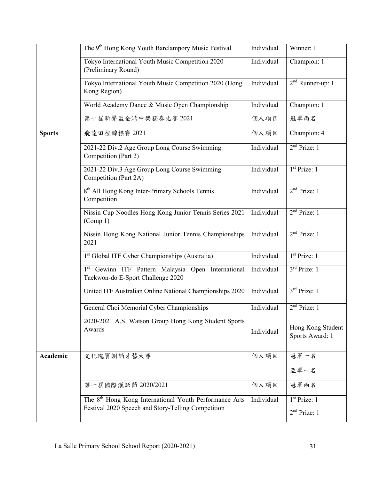|               | The 9 <sup>th</sup> Hong Kong Youth Barclampory Music Festival                          | Individual | Winner: 1                            |
|---------------|-----------------------------------------------------------------------------------------|------------|--------------------------------------|
|               | Tokyo International Youth Music Competition 2020<br>(Preliminary Round)                 | Individual | Champion: 1                          |
|               | Tokyo International Youth Music Competition 2020 (Hong<br>Kong Region)                  | Individual | $2nd$ Runner-up: 1                   |
|               | World Academy Dance & Music Open Championship                                           | Individual | Champion: 1                          |
|               | 第十屆新聲盃全港中樂獨奏比賽 2021                                                                     | 個人項目       | 冠軍兩名                                 |
| <b>Sports</b> | 飛達田徑錦標賽 2021                                                                            | 個人項目       | Champion: 4                          |
|               | 2021-22 Div.2 Age Group Long Course Swimming<br>Competition (Part 2)                    | Individual | 2 <sup>nd</sup> Prize: 1             |
|               | 2021-22 Div.3 Age Group Long Course Swimming<br>Competition (Part 2A)                   | Individual | 1 <sup>st</sup> Prize: 1             |
|               | 8 <sup>th</sup> All Hong Kong Inter-Primary Schools Tennis<br>Competition               | Individual | 2 <sup>nd</sup> Prize: 1             |
|               | Nissin Cup Noodles Hong Kong Junior Tennis Series 2021<br>(Comp 1)                      | Individual | 2 <sup>nd</sup> Prize: 1             |
|               | Nissin Hong Kong National Junior Tennis Championships<br>2021                           | Individual | 2 <sup>nd</sup> Prize: 1             |
|               | 1 <sup>st</sup> Global ITF Cyber Championships (Australia)                              | Individual | $1st$ Prize: 1                       |
|               | 1st Gewinn ITF Pattern Malaysia Open International<br>Taekwon-do E-Sport Challenge 2020 | Individual | $3rd$ Prize: 1                       |
|               | United ITF Australian Online National Championships 2020                                | Individual | $3rd$ Prize: 1                       |
|               | General Choi Memorial Cyber Championships                                               | Individual | 2 <sup>nd</sup> Prize: 1             |
|               | 2020-2021 A.S. Watson Group Hong Kong Student Sports<br>Awards                          | Individual | Hong Kong Student<br>Sports Award: 1 |
| Academic      | 文化瑰寶朗誦才藝大賽                                                                              | 個人項目       | 冠軍一名                                 |
|               |                                                                                         |            | 亞軍一名                                 |
|               | 第一屆國際漢語節 2020/2021                                                                      | 個人項目       | 冠軍兩名                                 |
|               | The 8 <sup>th</sup> Hong Kong International Youth Performance Arts                      | Individual | 1 <sup>st</sup> Prize: 1             |
|               | Festival 2020 Speech and Story-Telling Competition                                      |            | 2 <sup>nd</sup> Prize: 1             |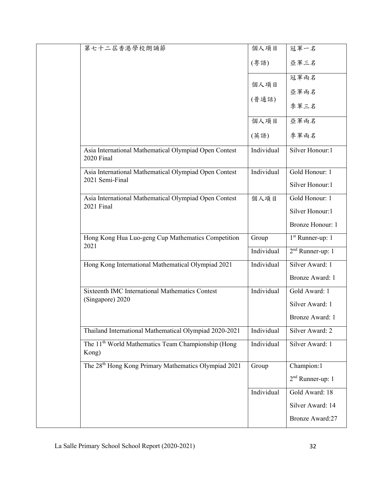| Silver Honour:1              |
|------------------------------|
| Gold Honour: 1               |
| Silver Honour:1              |
| Gold Honour: 1               |
|                              |
| Silver Honour:1              |
| Bronze Honour: 1             |
| $1st$ Runner-up: 1           |
| $2nd$ Runner-up: 1           |
| Silver Award: 1              |
| Bronze Award: 1              |
| Gold Award: 1                |
| Silver Award: 1              |
| Bronze Award: 1              |
| Silver Award: 2              |
| Silver Award: 1              |
| Champion:1                   |
| 2 <sup>nd</sup> Runner-up: 1 |
| Gold Award: 18               |
| Silver Award: 14             |
|                              |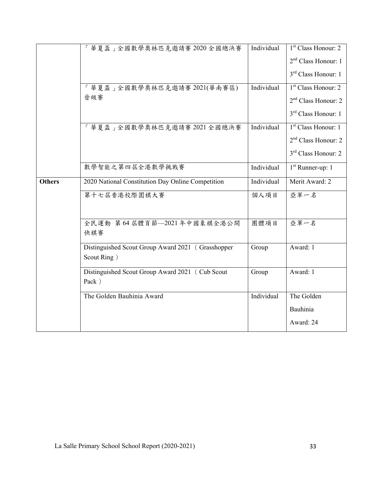|               | 「華夏盃」全國數學奧林匹克邀請賽 2020 全國總決賽                                      | Individual | 1 <sup>st</sup> Class Honour: 2<br>2 <sup>nd</sup> Class Honour: 1 |
|---------------|------------------------------------------------------------------|------------|--------------------------------------------------------------------|
|               |                                                                  |            | 3 <sup>rd</sup> Class Honour: 1                                    |
|               | 「華夏盃」全國數學奧林匹克邀請賽 2021(華南賽區)                                      | Individual | $1st$ Class Honour: 2                                              |
|               | 晉級賽                                                              |            | 2 <sup>nd</sup> Class Honour: 2                                    |
|               |                                                                  |            | 3 <sup>rd</sup> Class Honour: 1                                    |
|               | 「華夏盃」全國數學奧林匹克邀請賽 2021 全國總決賽                                      | Individual | 1 <sup>st</sup> Class Honour: 1                                    |
|               |                                                                  |            | $2nd$ Class Honour: 2                                              |
|               |                                                                  |            | 3 <sup>rd</sup> Class Honour: 2                                    |
|               | 數學智能之第四屆全港數學挑戰賽                                                  | Individual | $1st$ Runner-up: 1                                                 |
| <b>Others</b> | 2020 National Constitution Day Online Competition                | Individual | Merit Award: 2                                                     |
|               | 第十七屆香港校際圍棋大賽                                                     | 個人項目       | 亞軍一名                                                               |
|               | 全民運動 第64 屆體育節––2021年中國象棋全港公開<br>快棋賽                              | 團體項目       | 亞軍一名                                                               |
|               | Distinguished Scout Group Award 2021 (Grasshopper<br>Scout Ring) | Group      | Award: 1                                                           |
|               | Distinguished Scout Group Award 2021 (Cub Scout<br>Pack)         | Group      | Award: 1                                                           |
|               | The Golden Bauhinia Award                                        | Individual | The Golden                                                         |
|               |                                                                  |            | Bauhinia                                                           |
|               |                                                                  |            | Award: 24                                                          |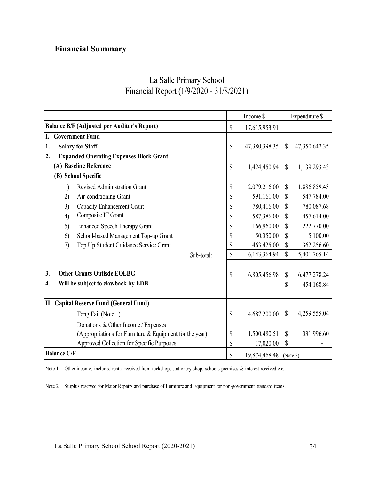## **Financial Summary**

## La Salle Primary School Financial Report (1/9/2020 - 31/8/2021)

|                                                         | Income \$                    |               |              | Expenditure \$ |  |
|---------------------------------------------------------|------------------------------|---------------|--------------|----------------|--|
| <b>Balance B/F (Adjusted per Auditor's Report)</b>      |                              | 17,615,953.91 |              |                |  |
| <b>Government Fund</b><br>I.                            |                              |               |              |                |  |
| <b>Salary for Staff</b><br>1.                           | \$                           | 47,380,398.35 | \$           | 47,350,642.35  |  |
| 2.<br><b>Expanded Operating Expenses Block Grant</b>    |                              |               |              |                |  |
| (A) Baseline Reference                                  | $\mathsf{\$}$                | 1,424,450.94  | $\mathbb{S}$ | 1,139,293.43   |  |
| (B) School Specific                                     |                              |               |              |                |  |
| Revised Administration Grant<br>1)                      | \$                           | 2,079,216.00  | $\mathbb{S}$ | 1,886,859.43   |  |
| 2)<br>Air-conditioning Grant                            | \$                           | 591,161.00    | \$           | 547,784.00     |  |
| 3)<br>Capacity Enhancement Grant                        | \$                           | 780,416.00    | \$           | 780,087.68     |  |
| Composite IT Grant<br>4)                                | \$                           | 587,386.00    | $\mathbf S$  | 457,614.00     |  |
| <b>Enhanced Speech Therapy Grant</b><br>5)              | \$                           | 166,960.00    | \$           | 222,770.00     |  |
| School-based Management Top-up Grant<br>6)              | \$                           | 50,350.00     | \$           | 5,100.00       |  |
| Top Up Student Guidance Service Grant<br>7)             | \$                           | 463,425.00    | \$           | 362,256.60     |  |
| Sub-total:                                              | \$                           | 6,143,364.94  | $\mathbb{S}$ | 5,401,765.14   |  |
| 3.<br><b>Other Grants Outisde EOEBG</b>                 | \$                           | 6,805,456.98  | \$           | 6,477,278.24   |  |
| 4.<br>Will be subject to clawback by EDB                |                              |               | \$           | 454,168.84     |  |
| II. Capital Reserve Fund (General Fund)                 |                              |               |              |                |  |
| Tong Fai (Note 1)                                       | \$                           | 4,687,200.00  | $\$$         | 4,259,555.04   |  |
| Donations & Other Income / Expenses                     |                              |               |              |                |  |
| (Appropriations for Furniture & Equipment for the year) | \$                           | 1,500,480.51  | $\mathbb{S}$ | 331,996.60     |  |
| Approved Collection for Specific Purposes               | \$                           | 17,020.00     | \$           |                |  |
| <b>Balance C/F</b>                                      | \$<br>19,874,468.48 (Note 2) |               |              |                |  |

Note 1: Other incomes included rental received from tuckshop, stationery shop, schools premises & interest received etc.

Note 2: Surplus reserved for Major Repairs and purchase of Furniture and Equipment for non-government standard items.